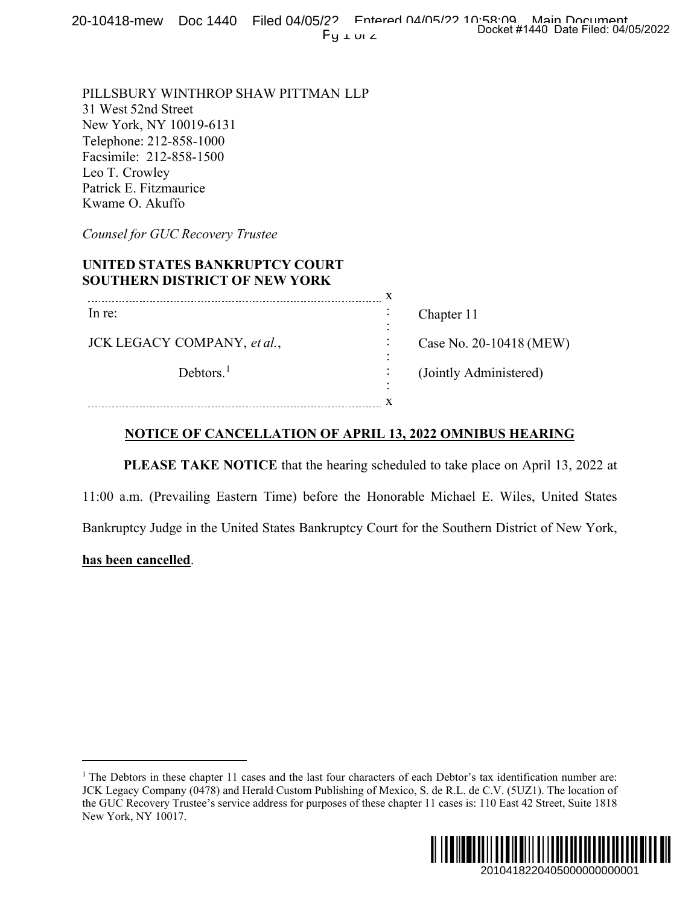## **UNITED STATES BANKRUPTCY COURT SOUTHERN DISTRICT OF NEW YORK**

| $Fy \perp w \neq$                                                                                                                                                                                                                                                                                                                                                                 | Docket #1440 Date Filed: 04/05/2022 |
|-----------------------------------------------------------------------------------------------------------------------------------------------------------------------------------------------------------------------------------------------------------------------------------------------------------------------------------------------------------------------------------|-------------------------------------|
| PILLSBURY WINTHROP SHAW PITTMAN LLP<br>31 West 52nd Street<br>New York, NY 10019-6131<br>Telephone: 212-858-1000<br>Facsimile: 212-858-1500<br>Leo T. Crowley<br>Patrick E. Fitzmaurice<br>Kwame O. Akuffo                                                                                                                                                                        |                                     |
| Counsel for GUC Recovery Trustee                                                                                                                                                                                                                                                                                                                                                  |                                     |
| UNITED STATES BANKRUPTCY COURT<br><b>SOUTHERN DISTRICT OF NEW YORK</b>                                                                                                                                                                                                                                                                                                            |                                     |
| In re:                                                                                                                                                                                                                                                                                                                                                                            | Chapter 11                          |
| JCK LEGACY COMPANY, et al.,                                                                                                                                                                                                                                                                                                                                                       | Case No. 20-10418 (MEW)             |
| Debtors. $1$                                                                                                                                                                                                                                                                                                                                                                      | (Jointly Administered)              |
|                                                                                                                                                                                                                                                                                                                                                                                   |                                     |
| <b>NOTICE OF CANCELLATION OF APRIL 13, 2022 OMNIBUS HEARING</b>                                                                                                                                                                                                                                                                                                                   |                                     |
| PLEASE TAKE NOTICE that the hearing scheduled to take place on April 13, 2022 at                                                                                                                                                                                                                                                                                                  |                                     |
| 11:00 a.m. (Prevailing Eastern Time) before the Honorable Michael E. Wiles, United States                                                                                                                                                                                                                                                                                         |                                     |
| Bankruptcy Judge in the United States Bankruptcy Court for the Southern District of New York,                                                                                                                                                                                                                                                                                     |                                     |
| <u>has been cancelled</u> .                                                                                                                                                                                                                                                                                                                                                       |                                     |
|                                                                                                                                                                                                                                                                                                                                                                                   |                                     |
|                                                                                                                                                                                                                                                                                                                                                                                   |                                     |
|                                                                                                                                                                                                                                                                                                                                                                                   |                                     |
|                                                                                                                                                                                                                                                                                                                                                                                   |                                     |
|                                                                                                                                                                                                                                                                                                                                                                                   |                                     |
|                                                                                                                                                                                                                                                                                                                                                                                   |                                     |
| The Debtors in these chapter 11 cases and the last four characters of each Debtor's tax identification number are:<br>ICK Legacy Company (0478) and Herald Custom Publishing of Mexico, S. de R.L. de C.V. (5UZ1). The location of<br>the GUC Recovery Trustee's service address for purposes of these chapter 11 cases is: 110 East 42 Street, Suite 1818<br>New York, NY 10017. |                                     |
|                                                                                                                                                                                                                                                                                                                                                                                   |                                     |
|                                                                                                                                                                                                                                                                                                                                                                                   | 2010418220405000000000001           |

## **NOTICE OF CANCELLATION OF APRIL 13, 2022 OMNIBUS HEARING**

## **has been cancelled**.

<sup>&</sup>lt;sup>1</sup> The Debtors in these chapter 11 cases and the last four characters of each Debtor's tax identification number are: JCK Legacy Company (0478) and Herald Custom Publishing of Mexico, S. de R.L. de C.V. (5UZ1). The location of the GUC Recovery Trustee's service address for purposes of these chapter 11 cases is: 110 East 42 Street, Suite 1818 New York, NY 10017.